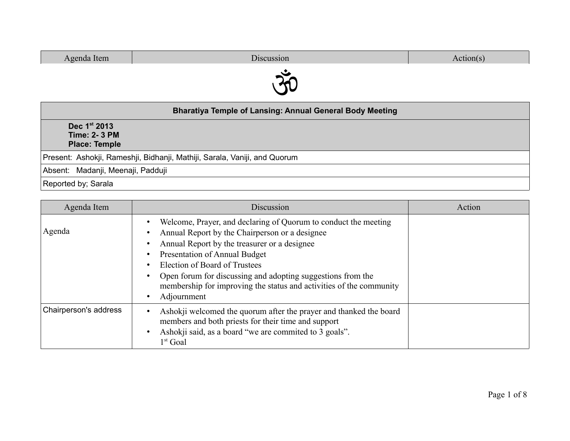| Agenda Item                                                               | Discussion | Action(s) |
|---------------------------------------------------------------------------|------------|-----------|
|                                                                           |            |           |
|                                                                           |            |           |
| <b>Bharatiya Temple of Lansing: Annual General Body Meeting</b>           |            |           |
| Dec 1st 2013                                                              |            |           |
| <b>Time: 2-3 PM</b>                                                       |            |           |
| <b>Place: Temple</b>                                                      |            |           |
| Present: Ashokji, Rameshji, Bidhanji, Mathiji, Sarala, Vaniji, and Quorum |            |           |
| Absent: Madanji, Meenaji, Padduji                                         |            |           |
| Reported by; Sarala                                                       |            |           |

| Agenda Item           | Discussion                                                                                                                                                                                                                                                                                                                                                                                      | Action |
|-----------------------|-------------------------------------------------------------------------------------------------------------------------------------------------------------------------------------------------------------------------------------------------------------------------------------------------------------------------------------------------------------------------------------------------|--------|
| Agenda                | Welcome, Prayer, and declaring of Quorum to conduct the meeting<br>Annual Report by the Chairperson or a designee<br>Annual Report by the treasurer or a designee<br><b>Presentation of Annual Budget</b><br>Election of Board of Trustees<br>Open forum for discussing and adopting suggestions from the<br>membership for improving the status and activities of the community<br>Adjournment |        |
| Chairperson's address | Ashokji welcomed the quorum after the prayer and thanked the board<br>members and both priests for their time and support<br>Ashokji said, as a board "we are commited to 3 goals".<br>$1st$ Goal                                                                                                                                                                                               |        |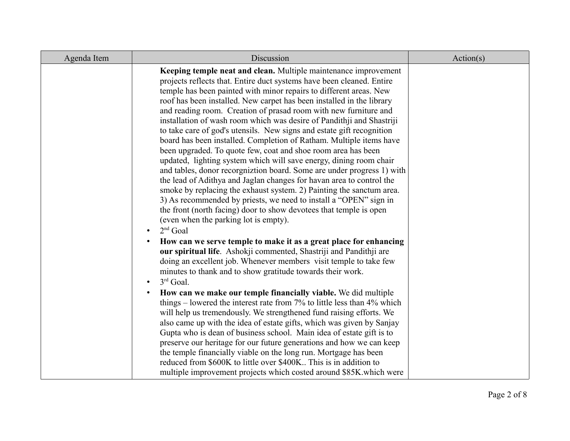| Agenda Item | Discussion                                                                                                                                                                                                                                                                                                                                                                                                                                                                                                                                                                                                                                                                                                                                                                                                                                                                                                                                                                                                                                                                                                                                                            | Action(s) |
|-------------|-----------------------------------------------------------------------------------------------------------------------------------------------------------------------------------------------------------------------------------------------------------------------------------------------------------------------------------------------------------------------------------------------------------------------------------------------------------------------------------------------------------------------------------------------------------------------------------------------------------------------------------------------------------------------------------------------------------------------------------------------------------------------------------------------------------------------------------------------------------------------------------------------------------------------------------------------------------------------------------------------------------------------------------------------------------------------------------------------------------------------------------------------------------------------|-----------|
|             | Keeping temple neat and clean. Multiple maintenance improvement<br>projects reflects that. Entire duct systems have been cleaned. Entire<br>temple has been painted with minor repairs to different areas. New<br>roof has been installed. New carpet has been installed in the library<br>and reading room. Creation of prasad room with new furniture and<br>installation of wash room which was desire of Pandithji and Shastriji<br>to take care of god's utensils. New signs and estate gift recognition<br>board has been installed. Completion of Ratham. Multiple items have<br>been upgraded. To quote few, coat and shoe room area has been<br>updated, lighting system which will save energy, dining room chair<br>and tables, donor recorgnization board. Some are under progress 1) with<br>the lead of Adithya and Jaglan changes for havan area to control the<br>smoke by replacing the exhaust system. 2) Painting the sanctum area.<br>3) As recommended by priests, we need to install a "OPEN" sign in<br>the front (north facing) door to show devotees that temple is open<br>(even when the parking lot is empty).<br>$2nd$ Goal<br>$\bullet$ |           |
|             | How can we serve temple to make it as a great place for enhancing<br>$\bullet$<br>our spiritual life. Ashokji commented, Shastriji and Pandithji are<br>doing an excellent job. Whenever members visit temple to take few<br>minutes to thank and to show gratitude towards their work.<br>$3rd$ Goal.<br>$\bullet$<br>How can we make our temple financially viable. We did multiple<br>$\bullet$<br>things – lowered the interest rate from 7% to little less than 4% which                                                                                                                                                                                                                                                                                                                                                                                                                                                                                                                                                                                                                                                                                         |           |
|             | will help us tremendously. We strengthened fund raising efforts. We<br>also came up with the idea of estate gifts, which was given by Sanjay<br>Gupta who is dean of business school. Main idea of estate gift is to<br>preserve our heritage for our future generations and how we can keep<br>the temple financially viable on the long run. Mortgage has been<br>reduced from \$600K to little over \$400K This is in addition to<br>multiple improvement projects which costed around \$85K which were                                                                                                                                                                                                                                                                                                                                                                                                                                                                                                                                                                                                                                                            |           |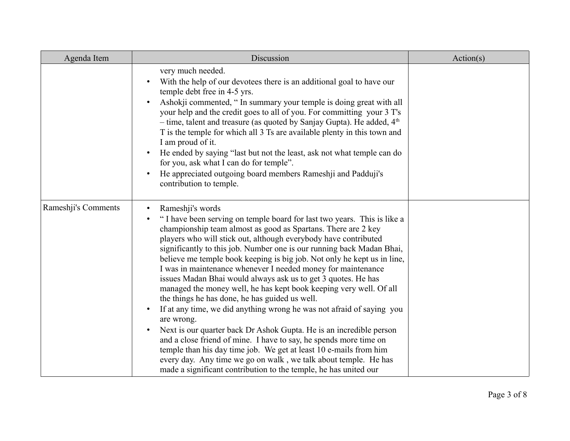| Agenda Item         | Discussion                                                                                                                                                                                                                                                                                                                                                                                                                                                                                                                                                                                                                                                                                                                                                                                                                                                                                                                                                                                                                                                                                                                                      | Action(s) |
|---------------------|-------------------------------------------------------------------------------------------------------------------------------------------------------------------------------------------------------------------------------------------------------------------------------------------------------------------------------------------------------------------------------------------------------------------------------------------------------------------------------------------------------------------------------------------------------------------------------------------------------------------------------------------------------------------------------------------------------------------------------------------------------------------------------------------------------------------------------------------------------------------------------------------------------------------------------------------------------------------------------------------------------------------------------------------------------------------------------------------------------------------------------------------------|-----------|
|                     | very much needed.<br>With the help of our devotees there is an additional goal to have our<br>temple debt free in 4-5 yrs.<br>Ashokji commented, "In summary your temple is doing great with all<br>your help and the credit goes to all of you. For committing your 3 T's<br>- time, talent and treasure (as quoted by Sanjay Gupta). He added, $4th$<br>T is the temple for which all 3 Ts are available plenty in this town and<br>I am proud of it.<br>He ended by saying "last but not the least, ask not what temple can do<br>$\bullet$<br>for you, ask what I can do for temple".<br>He appreciated outgoing board members Rameshji and Padduji's<br>$\bullet$<br>contribution to temple.                                                                                                                                                                                                                                                                                                                                                                                                                                               |           |
| Rameshji's Comments | Rameshji's words<br>$\bullet$<br>"I have been serving on temple board for last two years. This is like a<br>$\bullet$<br>championship team almost as good as Spartans. There are 2 key<br>players who will stick out, although everybody have contributed<br>significantly to this job. Number one is our running back Madan Bhai,<br>believe me temple book keeping is big job. Not only he kept us in line,<br>I was in maintenance whenever I needed money for maintenance<br>issues Madan Bhai would always ask us to get 3 quotes. He has<br>managed the money well, he has kept book keeping very well. Of all<br>the things he has done, he has guided us well.<br>If at any time, we did anything wrong he was not afraid of saying you<br>$\bullet$<br>are wrong.<br>Next is our quarter back Dr Ashok Gupta. He is an incredible person<br>$\bullet$<br>and a close friend of mine. I have to say, he spends more time on<br>temple than his day time job. We get at least 10 e-mails from him<br>every day. Any time we go on walk, we talk about temple. He has<br>made a significant contribution to the temple, he has united our |           |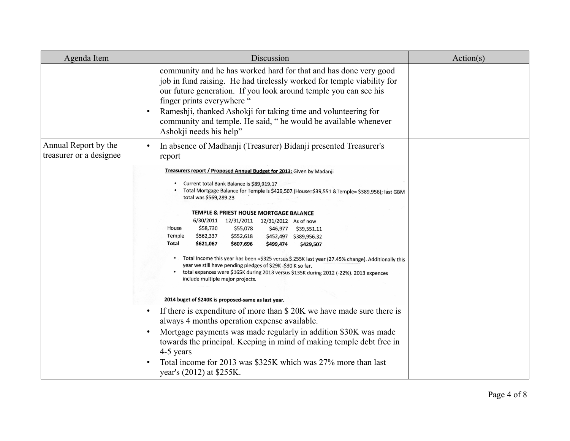| Agenda Item                                     | Discussion                                                                                                                                                                                                                                                                                                                                                                                                                                                                                                                                                                                                                                                                                                                                                                                                                                                                                                                                                                                                                                                                                                                                                                                                                                                                                                                                                                                         | Action(s) |
|-------------------------------------------------|----------------------------------------------------------------------------------------------------------------------------------------------------------------------------------------------------------------------------------------------------------------------------------------------------------------------------------------------------------------------------------------------------------------------------------------------------------------------------------------------------------------------------------------------------------------------------------------------------------------------------------------------------------------------------------------------------------------------------------------------------------------------------------------------------------------------------------------------------------------------------------------------------------------------------------------------------------------------------------------------------------------------------------------------------------------------------------------------------------------------------------------------------------------------------------------------------------------------------------------------------------------------------------------------------------------------------------------------------------------------------------------------------|-----------|
|                                                 | community and he has worked hard for that and has done very good<br>job in fund raising. He had tirelessly worked for temple viability for<br>our future generation. If you look around temple you can see his<br>finger prints everywhere "<br>Rameshii, thanked Ashokji for taking time and volunteering for<br>$\bullet$<br>community and temple. He said, " he would be available whenever<br>Ashokji needs his help"                                                                                                                                                                                                                                                                                                                                                                                                                                                                                                                                                                                                                                                                                                                                                                                                                                                                                                                                                                          |           |
| Annual Report by the<br>treasurer or a designee | In absence of Madhanji (Treasurer) Bidanji presented Treasurer's<br>$\bullet$<br>report<br>Treasurers report / Proposed Annual Budget for 2013: Given by Madanji<br>Current total Bank Balance is \$89,919.17<br>Total Mortgage Balance for Temple is \$429,507 (House=\$39,551 & Temple= \$389,956); last GBM<br>total was \$569,289.23<br>TEMPLE & PRIEST HOUSE MORTGAGE BALANCE<br>6/30/2011 12/31/2011 12/31/2012 As of now<br>\$58,730<br>\$55,078<br>House<br>\$46,977 \$39,551.11<br>\$562,337<br>Temple<br>\$552,618<br>\$452,497 \$389,956.32<br>Total<br>\$621,067<br>\$607,696<br>\$499,474<br>\$429,507<br>Total Income this year has been =\$325 versus \$ 255K last year (27.45% change). Additionally this<br>year we still have pending pledges of \$29K -\$30 K so far.<br>total expances were \$165K during 2013 versus \$135K during 2012 (-22%). 2013 expences<br>include multiple major projects.<br>2014 buget of \$240K is proposed-same as last year.<br>If there is expenditure of more than \$20K we have made sure there is<br>$\bullet$<br>always 4 months operation expense available.<br>Mortgage payments was made regularly in addition \$30K was made<br>$\bullet$<br>towards the principal. Keeping in mind of making temple debt free in<br>4-5 years<br>Total income for 2013 was \$325K which was 27% more than last<br>$\bullet$<br>year's (2012) at \$255K. |           |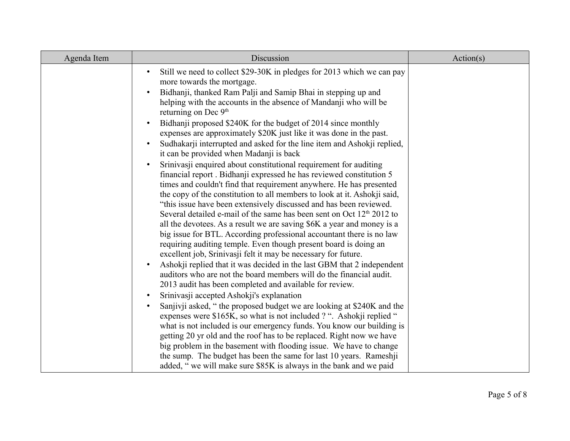| Agenda Item | Discussion                                                                                                                                                                                                                                                                                                                                                                                                                                                                                                                                                                                                  | Action(s) |
|-------------|-------------------------------------------------------------------------------------------------------------------------------------------------------------------------------------------------------------------------------------------------------------------------------------------------------------------------------------------------------------------------------------------------------------------------------------------------------------------------------------------------------------------------------------------------------------------------------------------------------------|-----------|
|             | Still we need to collect \$29-30K in pledges for 2013 which we can pay<br>$\bullet$<br>more towards the mortgage.                                                                                                                                                                                                                                                                                                                                                                                                                                                                                           |           |
|             | Bidhanji, thanked Ram Palji and Samip Bhai in stepping up and<br>$\bullet$<br>helping with the accounts in the absence of Mandanji who will be<br>returning on Dec 9 <sup>th</sup>                                                                                                                                                                                                                                                                                                                                                                                                                          |           |
|             | Bidhanji proposed \$240K for the budget of 2014 since monthly<br>$\bullet$<br>expenses are approximately \$20K just like it was done in the past.                                                                                                                                                                                                                                                                                                                                                                                                                                                           |           |
|             | Sudhakarji interrupted and asked for the line item and Ashokji replied,<br>$\bullet$<br>it can be provided when Madanji is back                                                                                                                                                                                                                                                                                                                                                                                                                                                                             |           |
|             | Srinivasji enquired about constitutional requirement for auditing<br>$\bullet$<br>financial report. Bidhanji expressed he has reviewed constitution 5<br>times and couldn't find that requirement anywhere. He has presented<br>the copy of the constitution to all members to look at it. Ashokji said,<br>"this issue have been extensively discussed and has been reviewed.<br>Several detailed e-mail of the same has been sent on Oct $12th 2012$ to<br>all the devotees. As a result we are saving \$6K a year and money is a<br>big issue for BTL. According professional accountant there is no law |           |
|             | requiring auditing temple. Even though present board is doing an<br>excellent job, Srinivasji felt it may be necessary for future.                                                                                                                                                                                                                                                                                                                                                                                                                                                                          |           |
|             | Ashokji replied that it was decided in the last GBM that 2 independent<br>$\bullet$<br>auditors who are not the board members will do the financial audit.<br>2013 audit has been completed and available for review.                                                                                                                                                                                                                                                                                                                                                                                       |           |
|             | Srinivasji accepted Ashokji's explanation<br>$\bullet$<br>Sanjivji asked, "the proposed budget we are looking at \$240K and the<br>$\bullet$<br>expenses were \$165K, so what is not included ? ". Ashokji replied "<br>what is not included is our emergency funds. You know our building is<br>getting 20 yr old and the roof has to be replaced. Right now we have<br>big problem in the basement with flooding issue. We have to change                                                                                                                                                                 |           |
|             | the sump. The budget has been the same for last 10 years. Rameshij<br>added, "we will make sure \$85K is always in the bank and we paid                                                                                                                                                                                                                                                                                                                                                                                                                                                                     |           |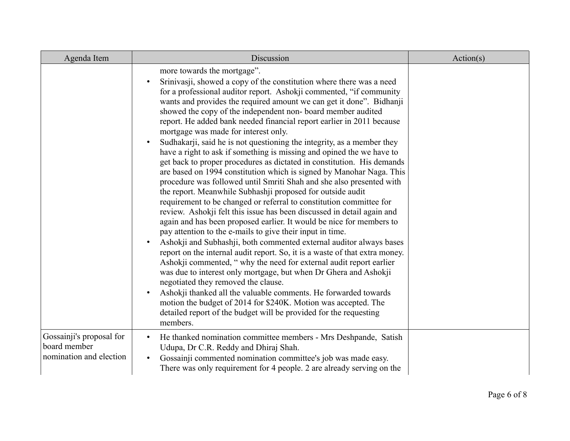| Agenda Item                                                         | Discussion                                                                                                                                                                                                                                                                                                                                                                                                                                                                                                                                                                                                                                                                                                                                                                                                                                                                                                                                                                                                                                                                                                                                                                                                                                                                                                                                                                                                                                                                                                                                                                                                                                                                                                                                                                           | Action(s) |
|---------------------------------------------------------------------|--------------------------------------------------------------------------------------------------------------------------------------------------------------------------------------------------------------------------------------------------------------------------------------------------------------------------------------------------------------------------------------------------------------------------------------------------------------------------------------------------------------------------------------------------------------------------------------------------------------------------------------------------------------------------------------------------------------------------------------------------------------------------------------------------------------------------------------------------------------------------------------------------------------------------------------------------------------------------------------------------------------------------------------------------------------------------------------------------------------------------------------------------------------------------------------------------------------------------------------------------------------------------------------------------------------------------------------------------------------------------------------------------------------------------------------------------------------------------------------------------------------------------------------------------------------------------------------------------------------------------------------------------------------------------------------------------------------------------------------------------------------------------------------|-----------|
|                                                                     | more towards the mortgage".<br>Srinivasji, showed a copy of the constitution where there was a need<br>$\bullet$<br>for a professional auditor report. Ashokji commented, "if community<br>wants and provides the required amount we can get it done". Bidhanji<br>showed the copy of the independent non-board member audited<br>report. He added bank needed financial report earlier in 2011 because<br>mortgage was made for interest only.<br>Sudhakarji, said he is not questioning the integrity, as a member they<br>$\bullet$<br>have a right to ask if something is missing and opined the we have to<br>get back to proper procedures as dictated in constitution. His demands<br>are based on 1994 constitution which is signed by Manohar Naga. This<br>procedure was followed until Smriti Shah and she also presented with<br>the report. Meanwhile Subhashji proposed for outside audit<br>requirement to be changed or referral to constitution committee for<br>review. Ashokji felt this issue has been discussed in detail again and<br>again and has been proposed earlier. It would be nice for members to<br>pay attention to the e-mails to give their input in time.<br>Ashokji and Subhashji, both commented external auditor always bases<br>$\bullet$<br>report on the internal audit report. So, it is a waste of that extra money.<br>Ashokji commented, "why the need for external audit report earlier<br>was due to interest only mortgage, but when Dr Ghera and Ashokji<br>negotiated they removed the clause.<br>Ashokji thanked all the valuable comments. He forwarded towards<br>$\bullet$<br>motion the budget of 2014 for \$240K. Motion was accepted. The<br>detailed report of the budget will be provided for the requesting<br>members. |           |
| Gossainji's proposal for<br>board member<br>nomination and election | He thanked nomination committee members - Mrs Deshpande, Satish<br>$\bullet$<br>Udupa, Dr C.R. Reddy and Dhiraj Shah.<br>Gossainji commented nomination committee's job was made easy.<br>$\bullet$<br>There was only requirement for 4 people. 2 are already serving on the                                                                                                                                                                                                                                                                                                                                                                                                                                                                                                                                                                                                                                                                                                                                                                                                                                                                                                                                                                                                                                                                                                                                                                                                                                                                                                                                                                                                                                                                                                         |           |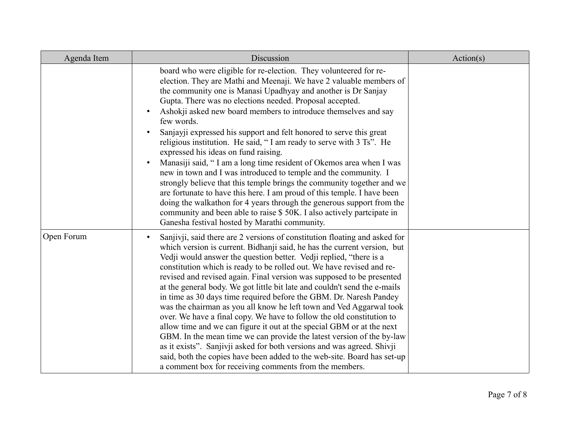| Agenda Item | Discussion                                                                                                                                                                                                                                                                                                                                                                                                                                                                                                                                                                                                                                                                                                                                                                                                                                                                                                                                                                                                                                                      | Action(s) |
|-------------|-----------------------------------------------------------------------------------------------------------------------------------------------------------------------------------------------------------------------------------------------------------------------------------------------------------------------------------------------------------------------------------------------------------------------------------------------------------------------------------------------------------------------------------------------------------------------------------------------------------------------------------------------------------------------------------------------------------------------------------------------------------------------------------------------------------------------------------------------------------------------------------------------------------------------------------------------------------------------------------------------------------------------------------------------------------------|-----------|
|             | board who were eligible for re-election. They volunteered for re-<br>election. They are Mathi and Meenaji. We have 2 valuable members of<br>the community one is Manasi Upadhyay and another is Dr Sanjay<br>Gupta. There was no elections needed. Proposal accepted.<br>Ashokji asked new board members to introduce themselves and say<br>few words.<br>Sanjayji expressed his support and felt honored to serve this great<br>religious institution. He said, "I am ready to serve with 3 Ts". He<br>expressed his ideas on fund raising.<br>Manasiji said, "I am a long time resident of Okemos area when I was<br>new in town and I was introduced to temple and the community. I<br>strongly believe that this temple brings the community together and we<br>are fortunate to have this here. I am proud of this temple. I have been<br>doing the walkathon for 4 years through the generous support from the<br>community and been able to raise \$50K. I also actively partcipate in<br>Ganesha festival hosted by Marathi community.                  |           |
| Open Forum  | Sanjivji, said there are 2 versions of constitution floating and asked for<br>$\bullet$<br>which version is current. Bidhanji said, he has the current version, but<br>Vedji would answer the question better. Vedji replied, "there is a<br>constitution which is ready to be rolled out. We have revised and re-<br>revised and revised again. Final version was supposed to be presented<br>at the general body. We got little bit late and couldn't send the e-mails<br>in time as 30 days time required before the GBM. Dr. Naresh Pandey<br>was the chairman as you all know he left town and Ved Aggarwal took<br>over. We have a final copy. We have to follow the old constitution to<br>allow time and we can figure it out at the special GBM or at the next<br>GBM. In the mean time we can provide the latest version of the by-law<br>as it exists". Sanjivji asked for both versions and was agreed. Shivji<br>said, both the copies have been added to the web-site. Board has set-up<br>a comment box for receiving comments from the members. |           |